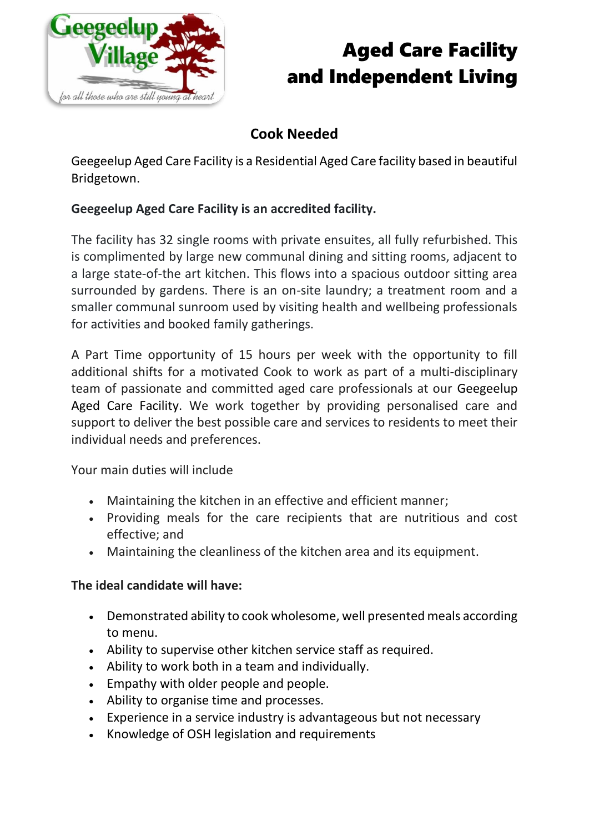

## Aged Care Facility and Independent Living

### **Cook Needed**

Geegeelup Aged Care Facility is a Residential Aged Care facility based in beautiful Bridgetown.

#### **Geegeelup Aged Care Facility is an accredited facility.**

The facility has 32 single rooms with private ensuites, all fully refurbished. This is complimented by large new communal dining and sitting rooms, adjacent to a large state-of-the art kitchen. This flows into a spacious outdoor sitting area surrounded by gardens. There is an on-site laundry; a treatment room and a smaller communal sunroom used by visiting health and wellbeing professionals for activities and booked family gatherings.

A Part Time opportunity of 15 hours per week with the opportunity to fill additional shifts for a motivated Cook to work as part of a multi-disciplinary team of passionate and committed aged care professionals at our Geegeelup Aged Care Facility. We work together by providing personalised care and support to deliver the best possible care and services to residents to meet their individual needs and preferences.

Your main duties will include

- Maintaining the kitchen in an effective and efficient manner;
- Providing meals for the care recipients that are nutritious and cost effective; and
- Maintaining the cleanliness of the kitchen area and its equipment.

#### **The ideal candidate will have:**

- Demonstrated ability to cook wholesome, well presented meals according to menu.
- Ability to supervise other kitchen service staff as required.
- Ability to work both in a team and individually.
- Empathy with older people and people.
- Ability to organise time and processes.
- Experience in a service industry is advantageous but not necessary
- Knowledge of OSH legislation and requirements